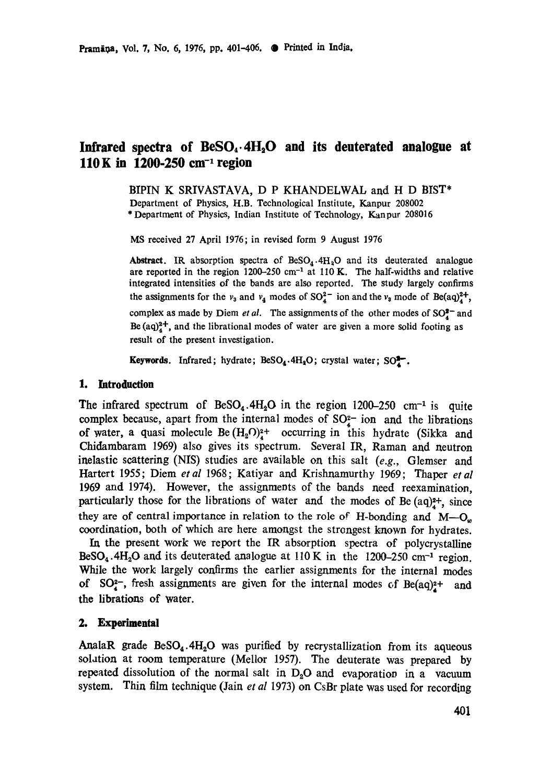# Infrared spectra of BeSO<sub>4</sub>.4H<sub>2</sub>O and its deuterated analogue at **110 K in 1200-250 cm -1 region**

BIPIN K SRIVASTAVA, D P KHANDELWAL and H D BIST\* Department of Physics, H.B. Technological Institute, Kanpur 208002 \* Department of Physics, Indian Institute of Technology, Kanpur 208016

MS received 27 April 1976; in revised form 9 August 1976

Abstract. IR absorption spectra of  $\text{BeSO}_4.4H_2O$  and its deuterated analogue are reported in the region  $1200-250$  cm<sup>-1</sup> at  $110$  K. The half-widths and relative integrated intensities of the bands are also reported. The study largely confirms the assignments for the  $v_3$  and  $v_4$  modes of  $SO_4^{2-}$  ion and the  $v_3$  mode of Be(aq)<sup>2+</sup>, complex as made by Diem *et al.* The assignments of the other modes of  $SO_4^{8-}$  and Be  $(aq)_4^2$ , and the librational modes of water are given a more solid footing as result of the present investigation.

**Keywords.** Infrared; hydrate; BeSO<sub>4</sub>.4H<sub>2</sub>O; crystal water; SO<sup>2</sup>.

#### **1. httroduetion**

The infrared spectrum of  $\text{BeSO}_4$ . 4H<sub>2</sub>O in the region 1200–250 cm<sup>-1</sup> is quite complex because, apart from the internal modes of  $SO<sub>2</sub><sup>-</sup>$  ion and the librations of water, a quasi molecule Be $(H_2O)_4^{2+}$  occurring in this hydrate (Sikka and Chidambaram 1969) also gives its spectrum. Several IR, Raman and neutron inelastic scattering (NIS) studies are available on this salt *(e.g.,* Glemser and Hartert 1955; Diem *etal* 1968; Katiyar and Krishnamurthy 1969; Thaper *etal*  1969 and 1974). However, the assignments of the bands need reexamination, particularly those for the librations of water and the modes of Be  $(aq)$ <sup>2+</sup>, since they are of central importance in relation to the role of H-bonding and  $M-O_{\nu}$ coordination, both of which are here amongst the strongest known for hydrates.

In the present work we report the IR absorption spectra of polycrystalline  $\text{BeSO}_4$ .4H<sub>2</sub>O and its deuterated analogue at 110 K in the 1200-250 cm<sup>-1</sup> region. While the work largely confirms the earlier assignments for the internal modes of SO<sub>4</sub>-, fresh assignments are given for the internal modes of Be(aq)<sup>2+</sup> and the librations of water.

#### **2. Experimental**

AnalaR grade  $BeSO<sub>4</sub>$ .4H<sub>2</sub>O was purified by recrystallization from its aqueous solation at room temperature (Mellor 1957). The deuterate was prepared by repeated dissolution of the normal salt in  $D_2O$  and evaporation in a vacuum system. Thin film technique (Jain *et al* 1973) on CsBr plate was used for recording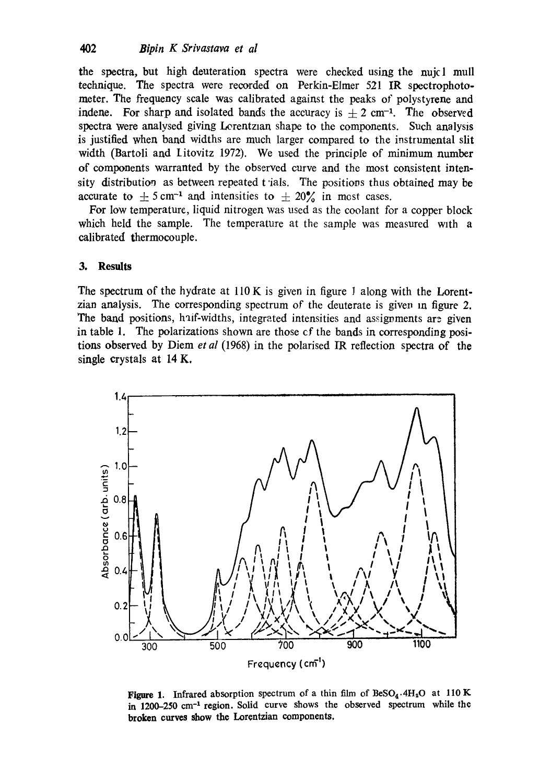the spectra, but high deuteration spectra were checked using the nujcl mull technique. The spectra were recorded on Perkin-Elmer 521 IR spectrophotometer. The frequency scale was calibrated against the peaks of polystyrene and indene. For sharp and isolated bands the accuracy is  $+ 2 \text{ cm}^{-1}$ . The observed spectra were analysed giving Lorentzian shape to the components. Such analysis is justified when band widths are much larger compared to the instrumental slit width (Bartoli and Litovitz 1972). We used the principle of minimum number of components warranted by the observed curve and the most consistent intensity distribution as between repeated t ials. The positions thus obtained may be accurate to  $\pm$  5 cm<sup>-1</sup> and intensities to  $\pm$  20% in most cases.

For low temperature, liquid nitrogen was used as the coolant for a copper block which held the sample. The temperature at the sample was measured with a calibrated thermocouple.

#### **3. Results**

The spectrum of the hydrate at 110 K is given in figure 1 along with the Lorentzian analysis. The corresponding spectrum of the deuterate is given in figure  $2$ . The band positions, haif-widths, integrated intensities and assignments are given in table 1. The polarizations shown are those cf the bands in corresponding positions observed by Diem *et al* (1968) in the polarised IR reflection spectra of the single crystals at 14 K,



Figure 1. Infrared absorption spectrum of a thin film of  $\text{BeSO}_4$ .4H<sub>2</sub>O at 110 K in 1200-250 cm<sup>-1</sup> region. Solid curve shows the observed spectrum while the **broken curves show the** Lorentzian components.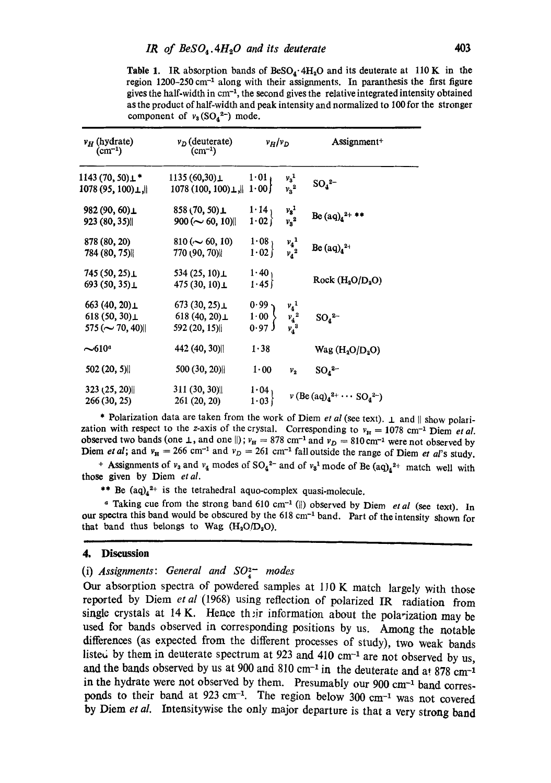**Table 1.** IR absorption bands of  $BesO_4$  ·  $4H_2O$  and its deuterate at 110 K in the region 1200-250 cm<sup>-1</sup> along with their assignments. In paranthesis the first figure gives the half-width in cm<sup>-1</sup>, the second gives the relative integrated intensity obtained as the product of half-width and peak intensity and normalized to 100 for the stronger component of  $v_8(SO_4^{2-})$  mode.

| $v_H$ (hydrate)<br>$(cm^{-1})$                               | $v_D$ (deuterate)<br>$\text{cm}^{-1}$ )                  | $v_H/v_D$                                    |                                          | Assignment+                              |
|--------------------------------------------------------------|----------------------------------------------------------|----------------------------------------------|------------------------------------------|------------------------------------------|
| 1143 (70, 50)⊥*<br>1078 (95, 100) L. I                       | $1135(60,30)$ $\perp$<br>1078 (100, 100) $\perp$ , 1 00) | $1.01 +$                                     | $v_3^1$<br>$v_3^2$                       | $SO_4^2$ -                               |
| 982 (90, 60)⊥<br>923 (80, 35)                                | $858(70, 50)$ $\perp$<br>$900 (\sim 60, 10)$             | $\begin{bmatrix} 1.14 \\ 1.02 \end{bmatrix}$ | $\frac{v_3^1}{v_3^2}$                    | Be $(aq)_4^{2+}$ **                      |
| 878 (80, 20)<br>784 (80, 75)                                 | $810 (\sim 60, 10)$<br>770 (90, 70)                      | 1.08 <sub>1</sub><br>1.02                    | $v_4$ <sup>1</sup><br>$v_4$ <sup>2</sup> | Be $(aq)_4^2$ <sup>+</sup>               |
| 745 (50, 25)⊥<br>693 (50, 35) $\perp$                        | 534 $(25, 10)$<br>475 (30, 10) $\perp$                   | $\begin{bmatrix} 1.40 \\ 1.45 \end{bmatrix}$ |                                          | Rock (H <sub>2</sub> O/D <sub>2</sub> O) |
| 663 (40, 20)⊥<br>618 (50, 30) $\perp$<br>$575 (\sim 70, 40)$ | 673(30, 25)<br>618 (40, 20) $\perp$<br>592 (20, 15)      | 0.99<br>1.00<br>$0.97$ J                     | $v_4^1$<br>$v_4^2$<br>$v_4^3$            | $SO_4^2$                                 |
| $\sim$ 610ª                                                  | 442 (40, 30)                                             | $1 - 38$                                     |                                          | $Wag (H_2O/D_2O)$                        |
| 502(20, 5)                                                   | 500 (30, 20)                                             | 1.00                                         | $v_{2}$                                  | $SO_4^2$                                 |
| 323(25, 20)<br>266 (30, 25)                                  | 311(30, 30)<br>261 (20, 20)                              | 1.04<br>1.03                                 |                                          | $v (Be (aq)42+ \cdots SO42-)$            |

\* Polarization data are taken from the work of Diem et al (see text).  $\perp$  and || show polarization with respect to the z-axis of the crystal. Corresponding to  $v_H = 1078$  cm<sup>-1</sup> Diem et al. observed two bands (one 1, and one ||);  $v_B = 878$  cm<sup>-1</sup> and  $v_D = 810$  cm<sup>-1</sup> were not observed by Diem et al; and  $v_R = 266$  cm<sup>-1</sup> and  $v_D = 261$  cm<sup>-1</sup> fall outside the range of Diem et al's study.

+ Assignments of  $v_3$  and  $v_4$  modes of SO<sub>4</sub><sup>2-</sup> and of  $v_3$ <sup>1</sup> mode of Be (aq)<sub>4</sub><sup>2+</sup> match well with those given by Diem et al.

\*\* Be  $(aq)_4^{2+}$  is the tetrahedral aquo-complex quasi-molecule.

<sup>*a*</sup> Taking cue from the strong band 610 cm<sup>-1</sup> (||) observed by Diem *et al* (see text). In our spectra this band would be obscured by the 618 cm<sup>-1</sup> band. Part of the intensity shown for that band thus belongs to Wag  $(H_2O/D_2O)$ .

#### **Discussion** 4.

#### (i) Assignments: General and  $SO_4^{2-}$  modes

Our absorption spectra of powdered samples at 110 K match largely with those reported by Diem et al (1968) using reflection of polarized IR radiation from single crystals at 14 K. Hence their information about the polarization may be used for bands observed in corresponding positions by us. Among the notable differences (as expected from the different processes of study), two weak bands listed by them in deuterate spectrum at 923 and 410 cm<sup>-1</sup> are not observed by us, and the bands observed by us at 900 and 810 cm<sup>-1</sup> in the deuterate and at 878 cm<sup>-1</sup> in the hydrate were not observed by them. Presumably our 900 cm<sup>-1</sup> band corresponds to their band at 923 cm<sup>-1</sup>. The region below 300 cm<sup>-1</sup> was not covered by Diem et al. Intensitywise the only major departure is that a very strong band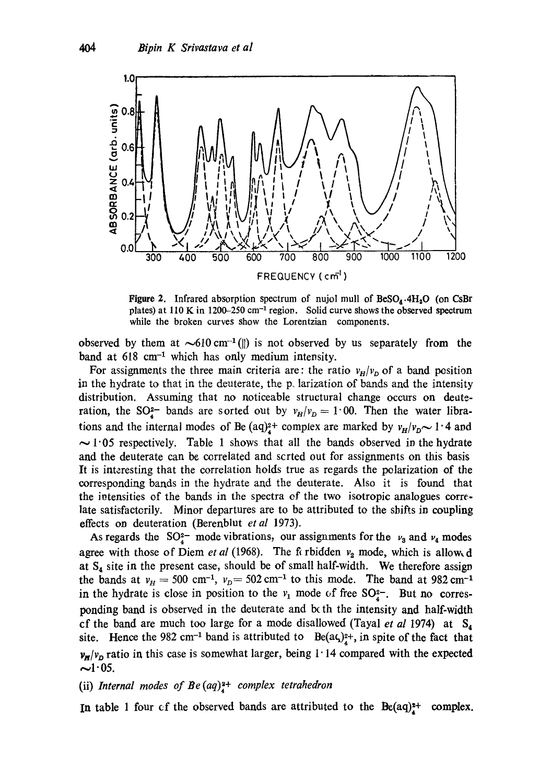

**Figure 2.** Infrared absorption spectrum of nujol mull of  $\text{BeSO}_4 \cdot 4\text{H}_2\text{O}$  (on CsBr plates) at 110 K in 1200–250 cm<sup>-1</sup> region. Solid curve shows the observed spectrum while the broken curves show the Lorentzian components.

observed by them at  $\sim 610 \text{ cm}^{-1}$  (||) is not observed by us separately from the band at  $618 \text{ cm}^{-1}$  which has only medium intensity.

For assignments the three main criteria are: the ratio  $v_H/v_D$  of a band position in the hydrate to that in the deuterate, the p. larization of bands and the intensity distribution. Assuming that no noticeable structural change occurs on deuteration, the SO<sub><sup>2</sub>-</sup> bands are sorted out by  $v_H/v_D = 1.00$ . Then the water libra-</sub> tions and the internal modes of Be (aq)<sup>2+</sup> complex are marked by  $v_H/v_D \sim 1.4$  and  $\sim$  1.05 respectively. Table 1 shows that all the bands observed in the hydrate and the deuterate can be correlated and scrted out for assignments on this basis It is interesting that the correlation holds true as regards the polarization of the corresponding bands in the hydrate and the deuterate. Also it is found that the intensities of the bands in the spectra of the two isotropic analogues correlate satisfacterily. Minor departures are to be attributed to the shifts in coupling effects on deuteration (Berenblut *etal* 1973).

As regards the SO<sub>4</sub>- mode vibrations, our assignments for the  $v_3$  and  $v_4$  modes agree with those of Diem *et al* (1968). The fi rbidden  $v_2$  mode, which is allowed at  $S_4$  site in the present case, should be of small half-width. We therefore assign the bands at  $v_H = 500 \text{ cm}^{-1}$ ,  $v_D = 502 \text{ cm}^{-1}$  to this mode. The band at 982 cm<sup>-1</sup> in the hydrate is close in position to the  $v_1$  mode of free SO<sub> $2$ </sub>-. But no corresponding band is observed in the deuterate and both the intensity and half-width cf the band are much too large for a mode disallowed (Tayal *et al* 1974) at  $S_4$ site. Hence the 982 cm<sup>-1</sup> band is attributed to  $Be(a\zeta)_4^{2+}$ , in spite of the fact that  $v_H/v_D$  ratio in this case is somewhat larger, being 1:14 compared with the expected  $\sim$ 1.05.

#### (ii) *Internal modes of Be* (aq)<sup>2+</sup> complex tetrahedron

In table 1 four cf the observed bands are attributed to the  $Be(aq)^{z+}$  complex.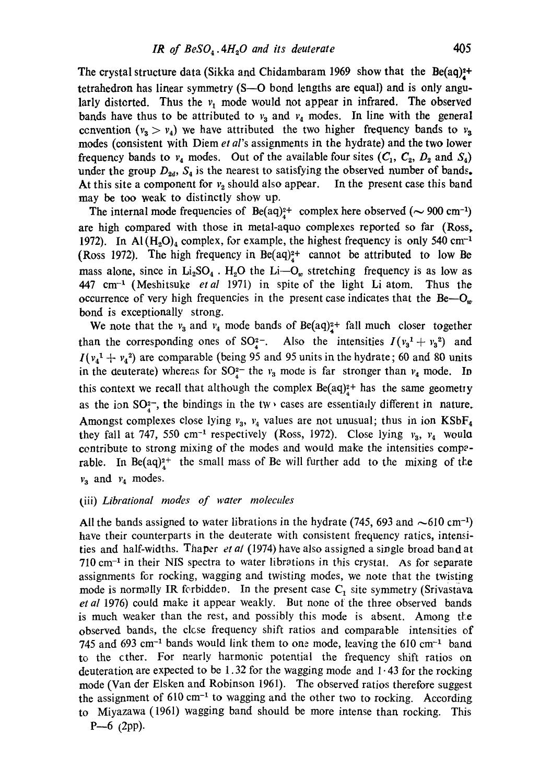The crystal structure data (Sikka and Chidambaram 1969 show that the  $Be(aq)^2$ + tetrahedron has linear symmetry (S-O bond lengths are equal) and is only angularly distorted. Thus the  $v_1$  mode would not appear in infrared. The observed bands have thus to be attributed to  $v_3$  and  $v_4$  modes. In line with the general convention  $(v_3 > v_4)$  we have attributed the two higher frequency bands to  $v_3$ modes (consistent with Diem *et al's* assignments in the hydrate) and the two lower frequency bands to  $v_4$  modes. Out of the available four sites  $(C_1, C_2, D_2 \text{ and } S_4)$ under the group  $D_{2d}$ ,  $S_4$  is the nearest to satisfying the observed number of bands. At this site a component for  $v_2$  should also appear. In the present case this band may be too weak to distinctly show up.

The internal mode frequencies of  $Be(aq)^{2+}_{4}$  complex here observed ( $\sim$  900 cm<sup>-1</sup>) are high compared with those in metal-aquo complexes reported so far (Ross, 1972). In Al  $(H_2O)_4$  complex, for example, the highest frequency is only 540 cm<sup>-1</sup> (Ross 1972). The high frequency in  $Be(aq)^{2+}$  cannot be attributed to low Be mass alone, since in  $Li_2SO_4$ . H<sub>2</sub>O the Li- $O_w$  stretching frequency is as low as 447 cm -1 (Meshitsuke *etal* 197I) in spite of the light Li atom. Thus the occurrence of very high frequencies in the present case indicates that the  $Be-O_w$ bond is exceptionally strong.

We note that the  $v_3$  and  $v_4$  mode bands of Be(aq)<sup>2+</sup> fall much closer together than the corresponding ones of SO<sub>4</sub><sup>-</sup>. Also the intensities  $I(v_3^1 + v_3^2)$  and  $I(v_4^1 + v_4^2)$  are comparable (being 95 and 95 units in the hydrate; 60 and 80 units in the deuterate) whereas for  $SO_4^{2-}$  the  $v_3$  mode is far stronger than  $v_4$  mode. In this context we recall that although the complex  $Be(aq)^2$ <sup>+</sup> has the same geometry as the ion  $SO<sub>4</sub>$ , the bindings in the tw, cases are essentially different in nature. Amongst complexes close lying  $v_3$ ,  $v_4$  values are not unusual; thus in ion KSbF<sub>4</sub> they fall at 747, 550 cm<sup>-1</sup> respectively (Ross, 1972). Close lying  $v_3$ ,  $v_4$  would contribute to strong mixing of the modes and would make the intensities comperable. In Be(aq)<sup>2+</sup> the small mass of Be will further add to the mixing of the  $v_3$  and  $v_4$  modes.

# t iii) *Librational modes of water molecules*

All the bands assigned to water librations in the hydrate (745, 693 and  $\sim 610 \text{ cm}^{-1}$ ) have their counterparts in the deuterate with consistent frequency ratics, intensities and half-widths. Thaper *et al* (1974) have also assigned a single broad band at  $710 \text{ cm}^{-1}$  in their NIS spectra to water librations in this crystal. As for separate assignments for rocking, wagging and twisting modes, we note that the twisting mode is normally IR forbidden. In the present case  $C_1$  site symmetry (Srivastava *et al* 1976) could make it appear weakly. But none at the three observed bands is much weaker than the rest, and possibly this mode is absent. Among the observed bands, the close frequency shift ratios and comparable intensities of 745 and 693 cm<sup>-1</sup> bands would link them to one mode, leaving the 610 cm<sup>-1</sup> band to the other. For nearly harmonic potential the frequency shift ratios on deuteration are expected to be 1.32 for the wagging mode and  $1.43$  for the rocking mode (Van der Elsken and Robinson 1961). The observed ratios therefore suggest the assignment of  $610 \text{ cm}^{-1}$  to wagging and the other two to rocking. According to Miyazawa (1961) wagging band should be more intense than rocking. This  $P$ —6 (2pp).